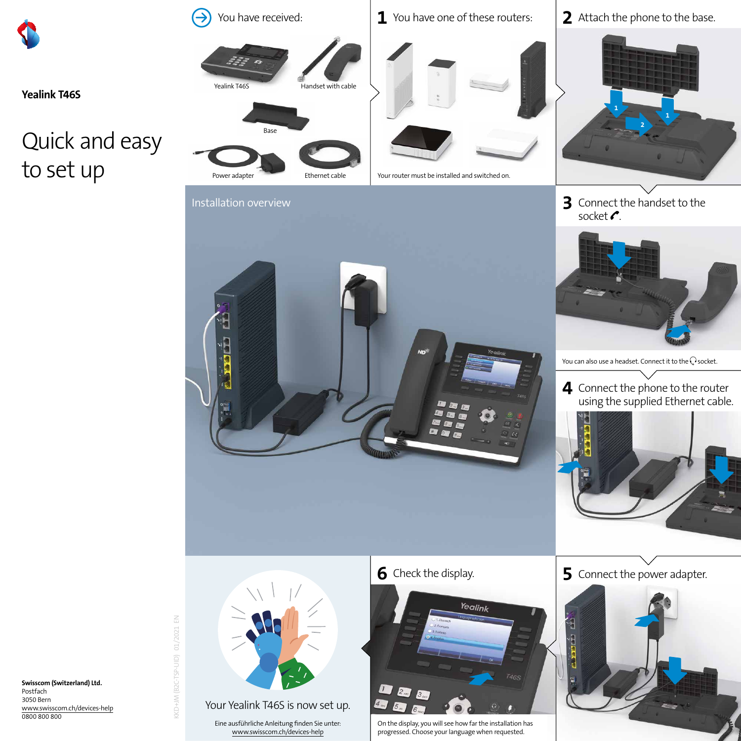